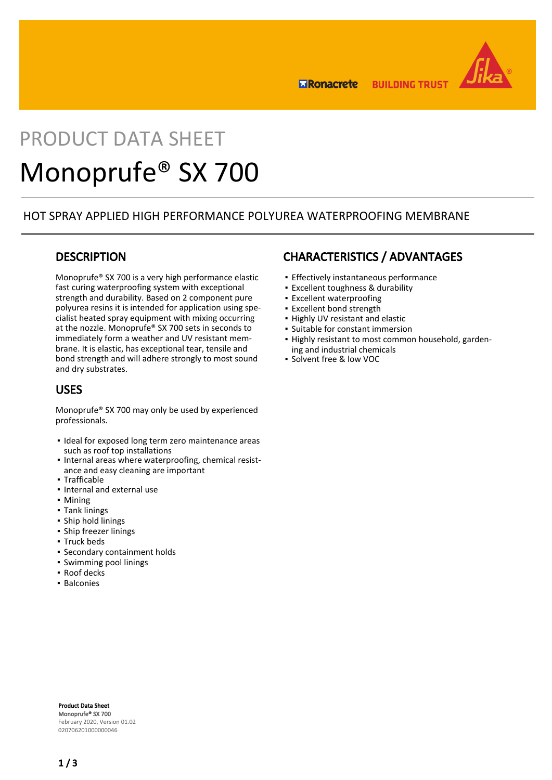

**ERonacrete BUILDING TRUST** 

# PRODUCT DATA SHEET Monoprufe® SX 700

### HOT SPRAY APPLIED HIGH PERFORMANCE POLYUREA WATERPROOFING MEMBRANE

### **DESCRIPTION**

Monoprufe® SX 700 is a very high performance elastic fast curing waterproofing system with exceptional strength and durability. Based on 2 component pure polyurea resins it is intended for application using specialist heated spray equipment with mixing occurring at the nozzle. Monoprufe® SX 700 sets in seconds to immediately form a weather and UV resistant membrane. It is elastic, has exceptional tear, tensile and bond strength and will adhere strongly to most sound and dry substrates.

### USES

Monoprufe® SX 700 may only be used by experienced professionals.

- **.** Ideal for exposed long term zero maintenance areas such as roof top installations
- . Internal areas where waterproofing, chemical resistance and easy cleaning are important
- Trafficable
- Internal and external use
- Mining
- Tank linings
- Ship hold linings
- **·** Ship freezer linings
- Truck beds
- Secondary containment holds
- Swimming pool linings
- Roof decks
- Balconies

## CHARACTERISTICS / ADVANTAGES

- **·** Effectively instantaneous performance
- Excellent toughness & durability
- **Excellent waterproofing**
- Excellent bond strength
- Highly UV resistant and elastic
- Suitable for constant immersion
- . Highly resistant to most common household, gardening and industrial chemicals
- Solvent free & low VOC

Product Data Sheet Monoprufe® SX 700 February 2020, Version 01.02 020706201000000046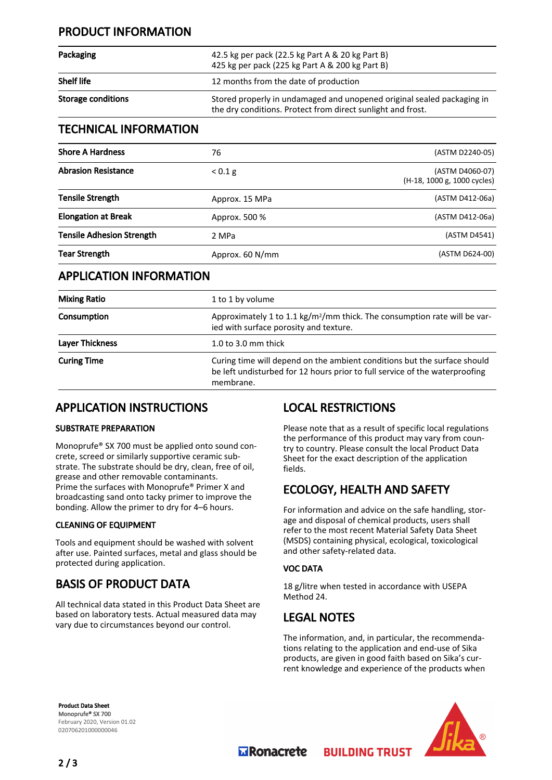## PRODUCT INFORMATION

| Packaging          | 42.5 kg per pack (22.5 kg Part A & 20 kg Part B)<br>425 kg per pack (225 kg Part A & 200 kg Part B)                                   |  |
|--------------------|---------------------------------------------------------------------------------------------------------------------------------------|--|
| <b>Shelf life</b>  | 12 months from the date of production                                                                                                 |  |
| Storage conditions | Stored properly in undamaged and unopened original sealed packaging in<br>the dry conditions. Protect from direct sunlight and frost. |  |

### TECHNICAL INFORMATION

| <b>Shore A Hardness</b>          | 76              | (ASTM D2240-05)                                |
|----------------------------------|-----------------|------------------------------------------------|
| <b>Abrasion Resistance</b>       | < 0.1 g         | (ASTM D4060-07)<br>(H-18, 1000 g, 1000 cycles) |
| Tensile Strength                 | Approx. 15 MPa  | (ASTM D412-06a)                                |
| <b>Elongation at Break</b>       | Approx. 500 %   | (ASTM D412-06a)                                |
| <b>Tensile Adhesion Strength</b> | 2 MPa           | (ASTM D4541)                                   |
| Tear Strength                    | Approx. 60 N/mm | (ASTM D624-00)                                 |

## APPLICATION INFORMATION

| <b>Mixing Ratio</b>    | 1 to 1 by volume                                                                                                                                                     |  |
|------------------------|----------------------------------------------------------------------------------------------------------------------------------------------------------------------|--|
| Consumption            | Approximately 1 to 1.1 kg/m <sup>2</sup> /mm thick. The consumption rate will be var-<br>ied with surface porosity and texture.                                      |  |
| <b>Layer Thickness</b> | 1.0 to 3.0 mm thick                                                                                                                                                  |  |
| <b>Curing Time</b>     | Curing time will depend on the ambient conditions but the surface should<br>be left undisturbed for 12 hours prior to full service of the waterproofing<br>membrane. |  |

## APPLICATION INSTRUCTIONS

#### SUBSTRATE PREPARATION

Monoprufe® SX 700 must be applied onto sound concrete, screed or similarly supportive ceramic substrate. The substrate should be dry, clean, free of oil, grease and other removable contaminants. Prime the surfaces with Monoprufe® Primer X and broadcasting sand onto tacky primer to improve the bonding. Allow the primer to dry for 4–6 hours.

#### CLEANING OF EQUIPMENT

Tools and equipment should be washed with solvent after use. Painted surfaces, metal and glass should be protected during application.

## BASIS OF PRODUCT DATA

All technical data stated in this Product Data Sheet are based on laboratory tests. Actual measured data may vary due to circumstances beyond our control.

## LOCAL RESTRICTIONS

Please note that as a result of specific local regulations the performance of this product may vary from country to country. Please consult the local Product Data Sheet for the exact description of the application fields.

## ECOLOGY, HEALTH AND SAFETY

For information and advice on the safe handling, storage and disposal of chemical products, users shall refer to the most recent Material Safety Data Sheet (MSDS) containing physical, ecological, toxicological and other safety-related data.

#### VOC DATA

18 g/litre when tested in accordance with USEPA Method 24.

## LEGAL NOTES

The information, and, in particular, the recommendations relating to the application and end-use of Sika products, are given in good faith based on Sika's current knowledge and experience of the products when

**BUILDING TRUST** 

Product Data Sheet Monoprufe® SX 700 February 2020, Version 01.02 020706201000000046



**Transporter**